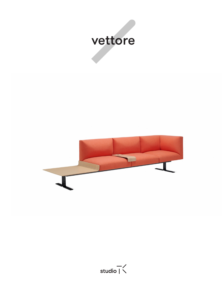